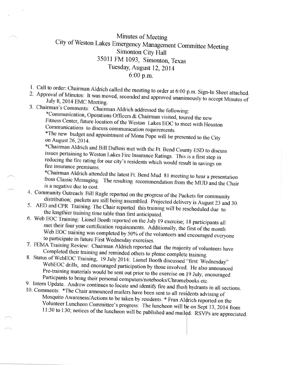## Minutes of Meeting City of Weston Lakes Emergency Management Committee Meeting Simonton Citv Hall <sup>35011</sup>FM 1093, Simonton, Texas Tuesday, August 12, 2014 6:00 p.m.

1. Call to order: Chairman Aldrich called the meeting to order at 6:00 p.m. Sign-In Sheet attached.

- 2. Approval of Minutes: It was moved, seconded and approved unanimously to accept Minutes of July 8, 2014 EMC Meeting.
- 

3. Chairman's Comments: Chairman Aldrich addressed the following:<br>\*Communication, Operations Officers & Chairman visited, toured the new Fitness Center, future location of the Weston Lakes EOC to meet with Houston<br>Communications to discuss communication requirements.<br>\*The new budget and appointment of Mona Pope will be presented to the City<br>on August 26, 20

\*Chairman Aldrich and Bill DuBois met with the Ft. Bend County ESD to discuss issues pertaining to Weston Lakes Fire Insurance Ratings. This is a first step in reducing the fire rating for our city's residents which would

from Classic Messaging. The resulting recommendation from the MUD and the Chair is a negative due to cost.

- 4. Community Outreach: Bill Ragle reported on the progress of the Packets for community distribution; packets are still being assembled. Projected delivery is August 23 and 30.
- 5. AED and CPR Training: The Chair reported this training will be rescheduled due to the lengthier training time table than first anticipated.
- 6. Web EOC Training: Lionel Booth reported on the July 19 exercise; 18 participants all met their four year certification requirements. Additionally, the first of the month Web EOC training was completed by 50% of the volunteers and encouraged everyone
- to participate in future First Wednesday exercises.<br>7. FEMA Training Review: Chairman Aldrich reported that the majority of volunteers have
- Completed their training and reminded others to please complete training.<br>8. Status of WebEOC Training, 19 July 2014: Lionel Booth discussed "first Wednesday" WebEOC drills, and encouraged participation by those involved. He also announced<br>Pre-training materials would be sent out prior to the exercise on 19 July; encouraged<br>Particpants to bring their personal computers/notebooks
- 
- Volunteer Luncheon Committee's progress: The luncheon will be on Sept 13, 2014 from 11:30 to l:30; notices of the luncheon will be published and mailed. RSVPs are appreciated.